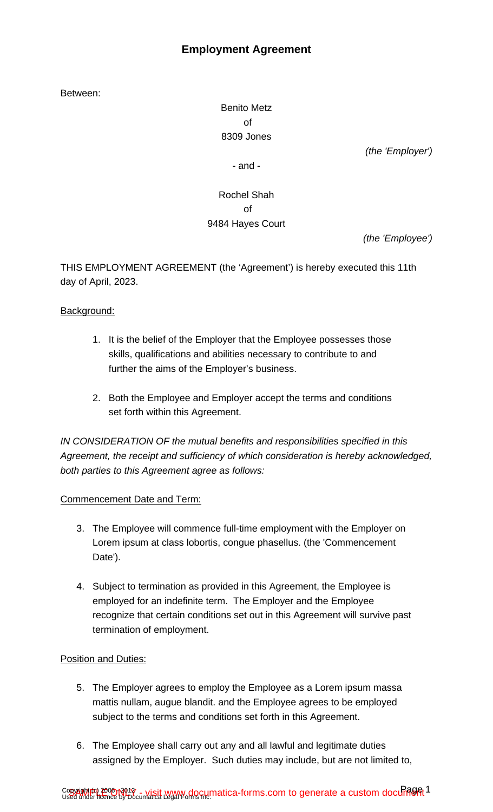# **Employment Agreement**

Between:

Benito Metz of 8309 Jones

(the 'Employer')

- and -

# Rochel Shah of 9484 Hayes Court

(the 'Employee')

THIS EMPLOYMENT AGREEMENT (the 'Agreement') is hereby executed this 11th day of April, 2023.

## Background:

- 1. It is the belief of the Employer that the Employee possesses those skills, qualifications and abilities necessary to contribute to and further the aims of the Employer's business.
- 2. Both the Employee and Employer accept the terms and conditions set forth within this Agreement.

IN CONSIDERATION OF the mutual benefits and responsibilities specified in this Agreement, the receipt and sufficiency of which consideration is hereby acknowledged, both parties to this Agreement agree as follows:

## Commencement Date and Term:

- 3. The Employee will commence full-time employment with the Employer on Lorem ipsum at class lobortis, congue phasellus. (the 'Commencement Date').
- 4. Subject to termination as provided in this Agreement, the Employee is employed for an indefinite term. The Employer and the Employee recognize that certain conditions set out in this Agreement will survive past termination of employment.

## Position and Duties:

- 5. The Employer agrees to employ the Employee as a Lorem ipsum massa mattis nullam, augue blandit. and the Employee agrees to be employed subject to the terms and conditions set forth in this Agreement.
- 6. The Employee shall carry out any and all lawful and legitimate duties assigned by the Employer. Such duties may include, but are not limited to,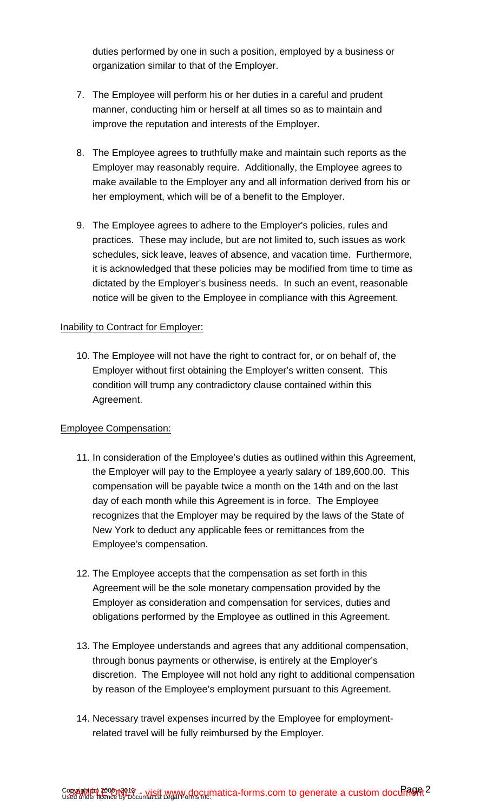duties performed by one in such a position, employed by a business or organization similar to that of the Employer.

- 7. The Employee will perform his or her duties in a careful and prudent manner, conducting him or herself at all times so as to maintain and improve the reputation and interests of the Employer.
- 8. The Employee agrees to truthfully make and maintain such reports as the Employer may reasonably require. Additionally, the Employee agrees to make available to the Employer any and all information derived from his or her employment, which will be of a benefit to the Employer.
- 9. The Employee agrees to adhere to the Employer's policies, rules and practices. These may include, but are not limited to, such issues as work schedules, sick leave, leaves of absence, and vacation time. Furthermore, it is acknowledged that these policies may be modified from time to time as dictated by the Employer's business needs. In such an event, reasonable notice will be given to the Employee in compliance with this Agreement.

#### Inability to Contract for Employer:

10. The Employee will not have the right to contract for, or on behalf of, the Employer without first obtaining the Employer's written consent. This condition will trump any contradictory clause contained within this Agreement.

#### Employee Compensation:

- 11. In consideration of the Employee's duties as outlined within this Agreement, the Employer will pay to the Employee a yearly salary of 189,600.00. This compensation will be payable twice a month on the 14th and on the last day of each month while this Agreement is in force. The Employee recognizes that the Employer may be required by the laws of the State of New York to deduct any applicable fees or remittances from the Employee's compensation.
- 12. The Employee accepts that the compensation as set forth in this Agreement will be the sole monetary compensation provided by the Employer as consideration and compensation for services, duties and obligations performed by the Employee as outlined in this Agreement.
- 13. The Employee understands and agrees that any additional compensation, through bonus payments or otherwise, is entirely at the Employer's discretion. The Employee will not hold any right to additional compensation by reason of the Employee's employment pursuant to this Agreement.
- 14. Necessary travel expenses incurred by the Employee for employmentrelated travel will be fully reimbursed by the Employer.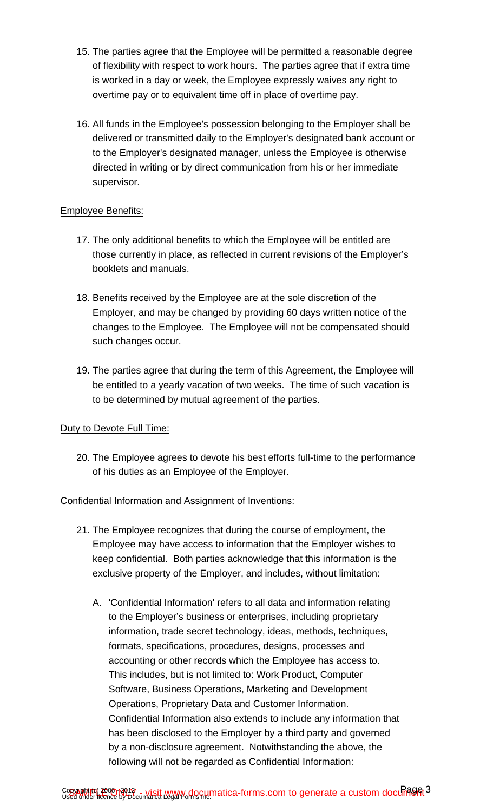- 15. The parties agree that the Employee will be permitted a reasonable degree of flexibility with respect to work hours. The parties agree that if extra time is worked in a day or week, the Employee expressly waives any right to overtime pay or to equivalent time off in place of overtime pay.
- 16. All funds in the Employee's possession belonging to the Employer shall be delivered or transmitted daily to the Employer's designated bank account or to the Employer's designated manager, unless the Employee is otherwise directed in writing or by direct communication from his or her immediate supervisor.

### Employee Benefits:

- 17. The only additional benefits to which the Employee will be entitled are those currently in place, as reflected in current revisions of the Employer's booklets and manuals.
- 18. Benefits received by the Employee are at the sole discretion of the Employer, and may be changed by providing 60 days written notice of the changes to the Employee. The Employee will not be compensated should such changes occur.
- 19. The parties agree that during the term of this Agreement, the Employee will be entitled to a yearly vacation of two weeks. The time of such vacation is to be determined by mutual agreement of the parties.

## Duty to Devote Full Time:

20. The Employee agrees to devote his best efforts full-time to the performance of his duties as an Employee of the Employer.

#### Confidential Information and Assignment of Inventions:

- 21. The Employee recognizes that during the course of employment, the Employee may have access to information that the Employer wishes to keep confidential. Both parties acknowledge that this information is the exclusive property of the Employer, and includes, without limitation:
	- A. 'Confidential Information' refers to all data and information relating to the Employer's business or enterprises, including proprietary information, trade secret technology, ideas, methods, techniques, formats, specifications, procedures, designs, processes and accounting or other records which the Employee has access to. This includes, but is not limited to: Work Product, Computer Software, Business Operations, Marketing and Development Operations, Proprietary Data and Customer Information. Confidential Information also extends to include any information that has been disclosed to the Employer by a third party and governed by a non-disclosure agreement. Notwithstanding the above, the following will not be regarded as Confidential Information: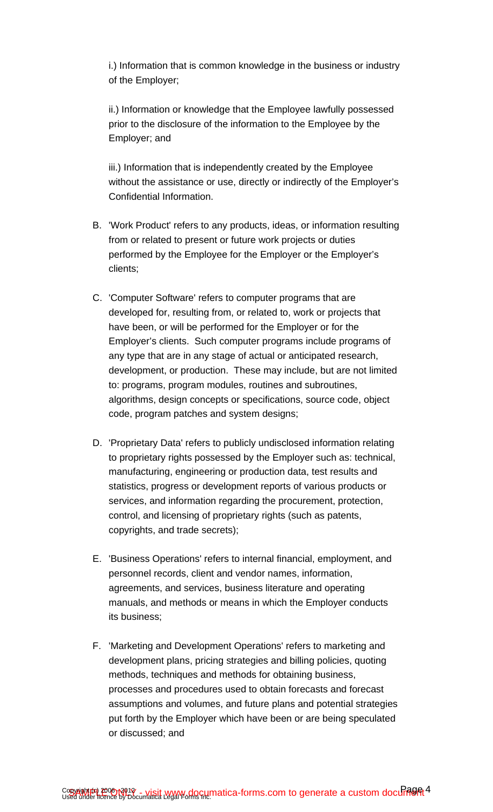i.) Information that is common knowledge in the business or industry of the Employer;

ii.) Information or knowledge that the Employee lawfully possessed prior to the disclosure of the information to the Employee by the Employer; and

iii.) Information that is independently created by the Employee without the assistance or use, directly or indirectly of the Employer's Confidential Information.

- B. 'Work Product' refers to any products, ideas, or information resulting from or related to present or future work projects or duties performed by the Employee for the Employer or the Employer's clients;
- C. 'Computer Software' refers to computer programs that are developed for, resulting from, or related to, work or projects that have been, or will be performed for the Employer or for the Employer's clients. Such computer programs include programs of any type that are in any stage of actual or anticipated research, development, or production. These may include, but are not limited to: programs, program modules, routines and subroutines, algorithms, design concepts or specifications, source code, object code, program patches and system designs;
- D. 'Proprietary Data' refers to publicly undisclosed information relating to proprietary rights possessed by the Employer such as: technical, manufacturing, engineering or production data, test results and statistics, progress or development reports of various products or services, and information regarding the procurement, protection, control, and licensing of proprietary rights (such as patents, copyrights, and trade secrets);
- E. 'Business Operations' refers to internal financial, employment, and personnel records, client and vendor names, information, agreements, and services, business literature and operating manuals, and methods or means in which the Employer conducts its business;
- F. 'Marketing and Development Operations' refers to marketing and development plans, pricing strategies and billing policies, quoting methods, techniques and methods for obtaining business, processes and procedures used to obtain forecasts and forecast assumptions and volumes, and future plans and potential strategies put forth by the Employer which have been or are being speculated or discussed; and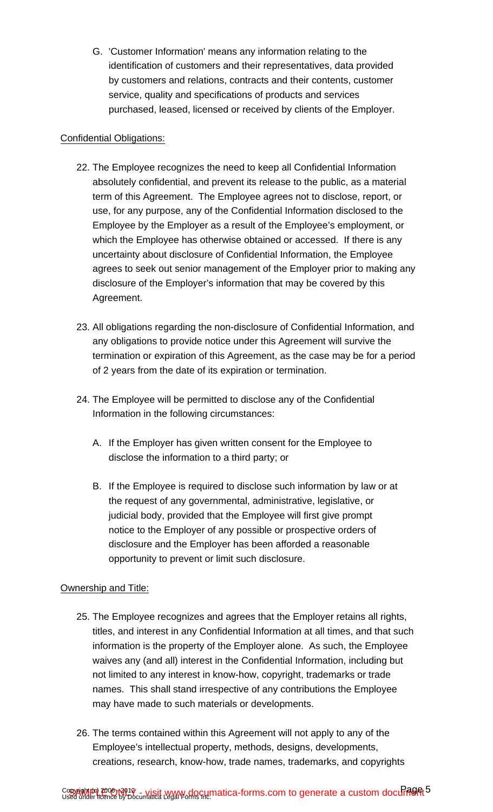G. 'Customer Information' means any information relating to the identification of customers and their representatives, data provided by customers and relations, contracts and their contents, customer service, quality and specifications of products and services purchased, leased, licensed or received by clients of the Employer.

### Confidential Obligations:

- 22. The Employee recognizes the need to keep all Confidential Information absolutely confidential, and prevent its release to the public, as a material term of this Agreement. The Employee agrees not to disclose, report, or use, for any purpose, any of the Confidential Information disclosed to the Employee by the Employer as a result of the Employee's employment, or which the Employee has otherwise obtained or accessed. If there is any uncertainty about disclosure of Confidential Information, the Employee agrees to seek out senior management of the Employer prior to making any disclosure of the Employer's information that may be covered by this Agreement.
- 23. All obligations regarding the non-disclosure of Confidential Information, and any obligations to provide notice under this Agreement will survive the termination or expiration of this Agreement, as the case may be for a period of 2 years from the date of its expiration or termination.
- 24. The Employee will be permitted to disclose any of the Confidential Information in the following circumstances:
	- A. If the Employer has given written consent for the Employee to disclose the information to a third party; or
	- B. If the Employee is required to disclose such information by law or at the request of any governmental, administrative, legislative, or judicial body, provided that the Employee will first give prompt notice to the Employer of any possible or prospective orders of disclosure and the Employer has been afforded a reasonable opportunity to prevent or limit such disclosure.

## Ownership and Title:

- 25. The Employee recognizes and agrees that the Employer retains all rights, titles, and interest in any Confidential Information at all times, and that such information is the property of the Employer alone. As such, the Employee waives any (and all) interest in the Confidential Information, including but not limited to any interest in know-how, copyright, trademarks or trade names. This shall stand irrespective of any contributions the Employee may have made to such materials or developments.
- 26. The terms contained within this Agreement will not apply to any of the Employee's intellectual property, methods, designs, developments, creations, research, know-how, trade names, trademarks, and copyrights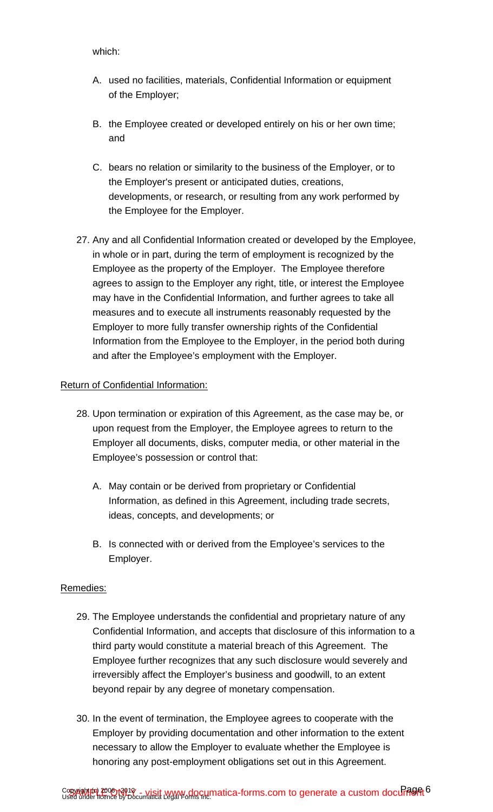- A. used no facilities, materials, Confidential Information or equipment of the Employer;
- B. the Employee created or developed entirely on his or her own time; and
- C. bears no relation or similarity to the business of the Employer, or to the Employer's present or anticipated duties, creations, developments, or research, or resulting from any work performed by the Employee for the Employer.
- 27. Any and all Confidential Information created or developed by the Employee, in whole or in part, during the term of employment is recognized by the Employee as the property of the Employer. The Employee therefore agrees to assign to the Employer any right, title, or interest the Employee may have in the Confidential Information, and further agrees to take all measures and to execute all instruments reasonably requested by the Employer to more fully transfer ownership rights of the Confidential Information from the Employee to the Employer, in the period both during and after the Employee's employment with the Employer.

#### Return of Confidential Information:

- 28. Upon termination or expiration of this Agreement, as the case may be, or upon request from the Employer, the Employee agrees to return to the Employer all documents, disks, computer media, or other material in the Employee's possession or control that:
	- A. May contain or be derived from proprietary or Confidential Information, as defined in this Agreement, including trade secrets, ideas, concepts, and developments; or
	- B. Is connected with or derived from the Employee's services to the Employer.

#### Remedies:

- 29. The Employee understands the confidential and proprietary nature of any Confidential Information, and accepts that disclosure of this information to a third party would constitute a material breach of this Agreement. The Employee further recognizes that any such disclosure would severely and irreversibly affect the Employer's business and goodwill, to an extent beyond repair by any degree of monetary compensation.
- 30. In the event of termination, the Employee agrees to cooperate with the Employer by providing documentation and other information to the extent necessary to allow the Employer to evaluate whether the Employee is honoring any post-employment obligations set out in this Agreement.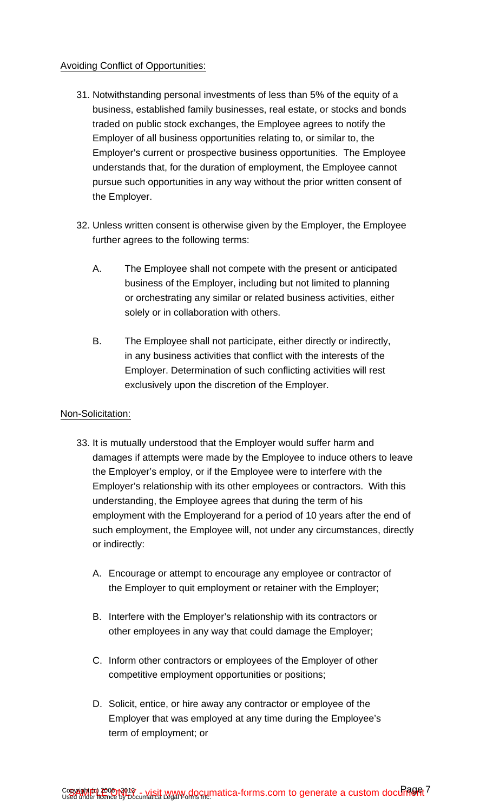### Avoiding Conflict of Opportunities:

- 31. Notwithstanding personal investments of less than 5% of the equity of a business, established family businesses, real estate, or stocks and bonds traded on public stock exchanges, the Employee agrees to notify the Employer of all business opportunities relating to, or similar to, the Employer's current or prospective business opportunities. The Employee understands that, for the duration of employment, the Employee cannot pursue such opportunities in any way without the prior written consent of the Employer.
- 32. Unless written consent is otherwise given by the Employer, the Employee further agrees to the following terms:
	- A. The Employee shall not compete with the present or anticipated business of the Employer, including but not limited to planning or orchestrating any similar or related business activities, either solely or in collaboration with others.
	- B. The Employee shall not participate, either directly or indirectly, in any business activities that conflict with the interests of the Employer. Determination of such conflicting activities will rest exclusively upon the discretion of the Employer.

#### Non-Solicitation:

- 33. It is mutually understood that the Employer would suffer harm and damages if attempts were made by the Employee to induce others to leave the Employer's employ, or if the Employee were to interfere with the Employer's relationship with its other employees or contractors. With this understanding, the Employee agrees that during the term of his employment with the Employerand for a period of 10 years after the end of such employment, the Employee will, not under any circumstances, directly or indirectly:
	- A. Encourage or attempt to encourage any employee or contractor of the Employer to quit employment or retainer with the Employer;
	- B. Interfere with the Employer's relationship with its contractors or other employees in any way that could damage the Employer;
	- C. Inform other contractors or employees of the Employer of other competitive employment opportunities or positions;
	- D. Solicit, entice, or hire away any contractor or employee of the Employer that was employed at any time during the Employee's term of employment; or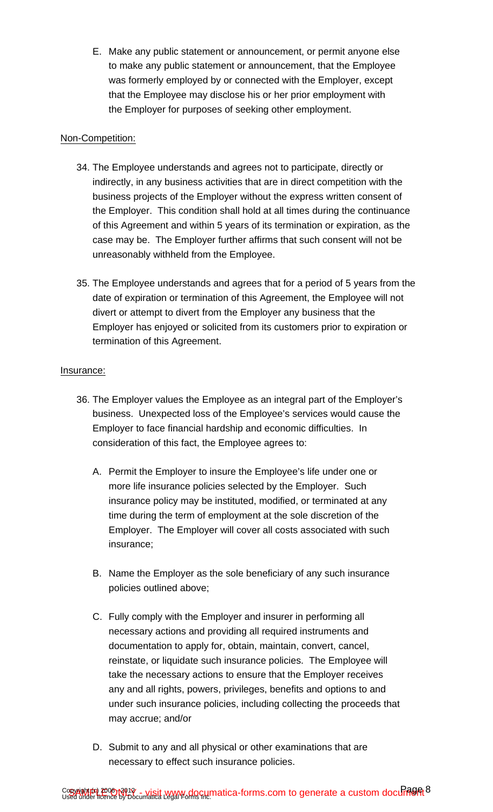E. Make any public statement or announcement, or permit anyone else to make any public statement or announcement, that the Employee was formerly employed by or connected with the Employer, except that the Employee may disclose his or her prior employment with the Employer for purposes of seeking other employment.

### Non-Competition:

- 34. The Employee understands and agrees not to participate, directly or indirectly, in any business activities that are in direct competition with the business projects of the Employer without the express written consent of the Employer. This condition shall hold at all times during the continuance of this Agreement and within 5 years of its termination or expiration, as the case may be. The Employer further affirms that such consent will not be unreasonably withheld from the Employee.
- 35. The Employee understands and agrees that for a period of 5 years from the date of expiration or termination of this Agreement, the Employee will not divert or attempt to divert from the Employer any business that the Employer has enjoyed or solicited from its customers prior to expiration or termination of this Agreement.

### Insurance:

- 36. The Employer values the Employee as an integral part of the Employer's business. Unexpected loss of the Employee's services would cause the Employer to face financial hardship and economic difficulties. In consideration of this fact, the Employee agrees to:
	- A. Permit the Employer to insure the Employee's life under one or more life insurance policies selected by the Employer. Such insurance policy may be instituted, modified, or terminated at any time during the term of employment at the sole discretion of the Employer. The Employer will cover all costs associated with such insurance;
	- B. Name the Employer as the sole beneficiary of any such insurance policies outlined above;
	- C. Fully comply with the Employer and insurer in performing all necessary actions and providing all required instruments and documentation to apply for, obtain, maintain, convert, cancel, reinstate, or liquidate such insurance policies. The Employee will take the necessary actions to ensure that the Employer receives any and all rights, powers, privileges, benefits and options to and under such insurance policies, including collecting the proceeds that may accrue; and/or
	- D. Submit to any and all physical or other examinations that are necessary to effect such insurance policies.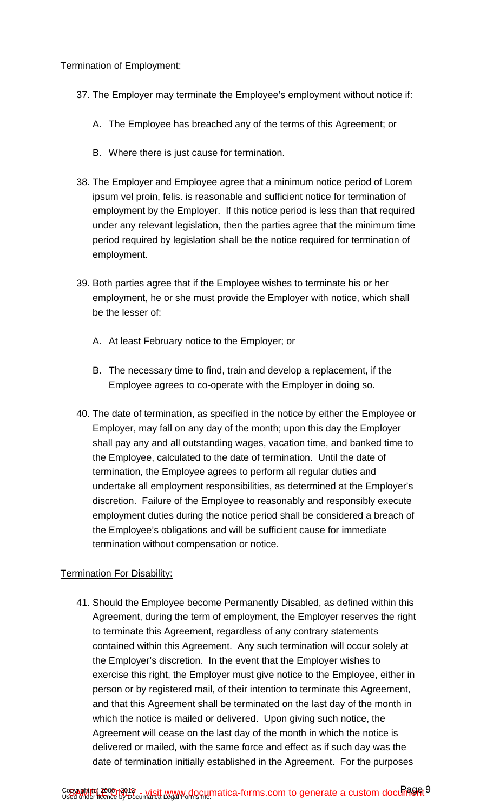- 37. The Employer may terminate the Employee's employment without notice if:
	- A. The Employee has breached any of the terms of this Agreement; or
	- B. Where there is just cause for termination.
- 38. The Employer and Employee agree that a minimum notice period of Lorem ipsum vel proin, felis. is reasonable and sufficient notice for termination of employment by the Employer. If this notice period is less than that required under any relevant legislation, then the parties agree that the minimum time period required by legislation shall be the notice required for termination of employment.
- 39. Both parties agree that if the Employee wishes to terminate his or her employment, he or she must provide the Employer with notice, which shall be the lesser of:
	- A. At least February notice to the Employer; or
	- B. The necessary time to find, train and develop a replacement, if the Employee agrees to co-operate with the Employer in doing so.
- 40. The date of termination, as specified in the notice by either the Employee or Employer, may fall on any day of the month; upon this day the Employer shall pay any and all outstanding wages, vacation time, and banked time to the Employee, calculated to the date of termination. Until the date of termination, the Employee agrees to perform all regular duties and undertake all employment responsibilities, as determined at the Employer's discretion. Failure of the Employee to reasonably and responsibly execute employment duties during the notice period shall be considered a breach of the Employee's obligations and will be sufficient cause for immediate termination without compensation or notice.

## Termination For Disability:

41. Should the Employee become Permanently Disabled, as defined within this Agreement, during the term of employment, the Employer reserves the right to terminate this Agreement, regardless of any contrary statements contained within this Agreement. Any such termination will occur solely at the Employer's discretion. In the event that the Employer wishes to exercise this right, the Employer must give notice to the Employee, either in person or by registered mail, of their intention to terminate this Agreement, and that this Agreement shall be terminated on the last day of the month in which the notice is mailed or delivered. Upon giving such notice, the Agreement will cease on the last day of the month in which the notice is delivered or mailed, with the same force and effect as if such day was the date of termination initially established in the Agreement. For the purposes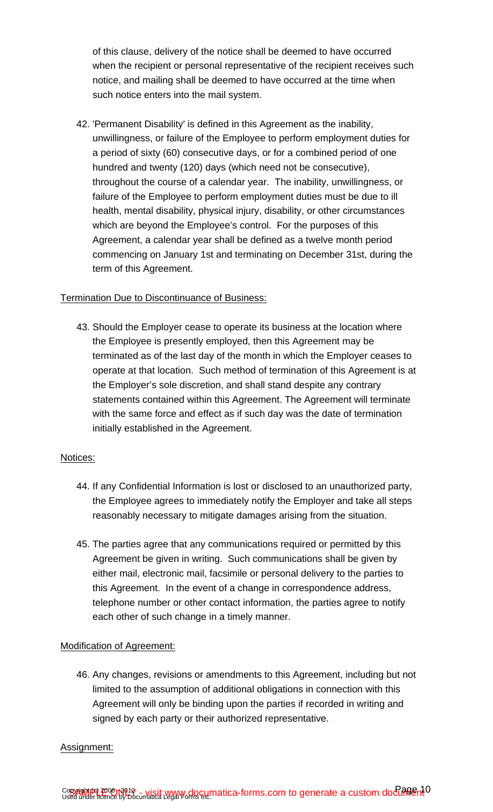of this clause, delivery of the notice shall be deemed to have occurred when the recipient or personal representative of the recipient receives such notice, and mailing shall be deemed to have occurred at the time when such notice enters into the mail system.

42. 'Permanent Disability' is defined in this Agreement as the inability, unwillingness, or failure of the Employee to perform employment duties for a period of sixty (60) consecutive days, or for a combined period of one hundred and twenty (120) days (which need not be consecutive), throughout the course of a calendar year. The inability, unwillingness, or failure of the Employee to perform employment duties must be due to ill health, mental disability, physical injury, disability, or other circumstances which are beyond the Employee's control. For the purposes of this Agreement, a calendar year shall be defined as a twelve month period commencing on January 1st and terminating on December 31st, during the term of this Agreement.

#### Termination Due to Discontinuance of Business:

43. Should the Employer cease to operate its business at the location where the Employee is presently employed, then this Agreement may be terminated as of the last day of the month in which the Employer ceases to operate at that location. Such method of termination of this Agreement is at the Employer's sole discretion, and shall stand despite any contrary statements contained within this Agreement. The Agreement will terminate with the same force and effect as if such day was the date of termination initially established in the Agreement.

#### Notices:

- 44. If any Confidential Information is lost or disclosed to an unauthorized party, the Employee agrees to immediately notify the Employer and take all steps reasonably necessary to mitigate damages arising from the situation.
- 45. The parties agree that any communications required or permitted by this Agreement be given in writing. Such communications shall be given by either mail, electronic mail, facsimile or personal delivery to the parties to this Agreement. In the event of a change in correspondence address, telephone number or other contact information, the parties agree to notify each other of such change in a timely manner.

#### Modification of Agreement:

46. Any changes, revisions or amendments to this Agreement, including but not limited to the assumption of additional obligations in connection with this Agreement will only be binding upon the parties if recorded in writing and signed by each party or their authorized representative.

#### Assignment: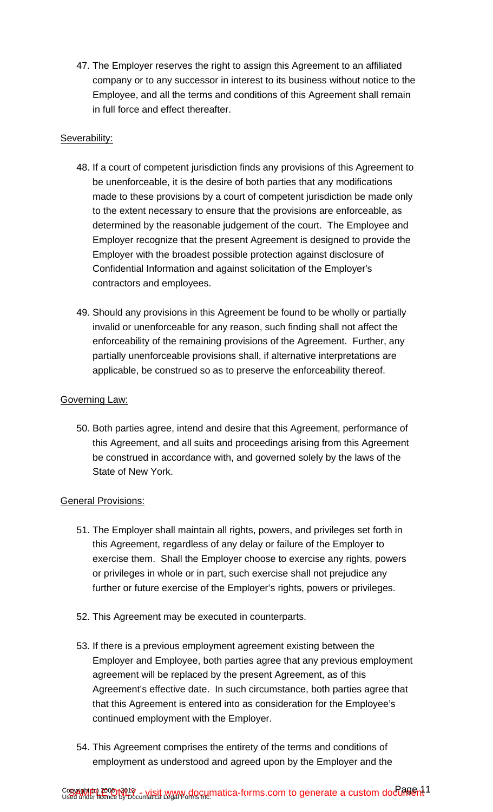47. The Employer reserves the right to assign this Agreement to an affiliated company or to any successor in interest to its business without notice to the Employee, and all the terms and conditions of this Agreement shall remain in full force and effect thereafter.

### Severability:

- 48. If a court of competent jurisdiction finds any provisions of this Agreement to be unenforceable, it is the desire of both parties that any modifications made to these provisions by a court of competent jurisdiction be made only to the extent necessary to ensure that the provisions are enforceable, as determined by the reasonable judgement of the court. The Employee and Employer recognize that the present Agreement is designed to provide the Employer with the broadest possible protection against disclosure of Confidential Information and against solicitation of the Employer's contractors and employees.
- 49. Should any provisions in this Agreement be found to be wholly or partially invalid or unenforceable for any reason, such finding shall not affect the enforceability of the remaining provisions of the Agreement. Further, any partially unenforceable provisions shall, if alternative interpretations are applicable, be construed so as to preserve the enforceability thereof.

### Governing Law:

50. Both parties agree, intend and desire that this Agreement, performance of this Agreement, and all suits and proceedings arising from this Agreement be construed in accordance with, and governed solely by the laws of the State of New York.

#### General Provisions:

- 51. The Employer shall maintain all rights, powers, and privileges set forth in this Agreement, regardless of any delay or failure of the Employer to exercise them. Shall the Employer choose to exercise any rights, powers or privileges in whole or in part, such exercise shall not prejudice any further or future exercise of the Employer's rights, powers or privileges.
- 52. This Agreement may be executed in counterparts.
- 53. If there is a previous employment agreement existing between the Employer and Employee, both parties agree that any previous employment agreement will be replaced by the present Agreement, as of this Agreement's effective date. In such circumstance, both parties agree that that this Agreement is entered into as consideration for the Employee's continued employment with the Employer.
- 54. This Agreement comprises the entirety of the terms and conditions of employment as understood and agreed upon by the Employer and the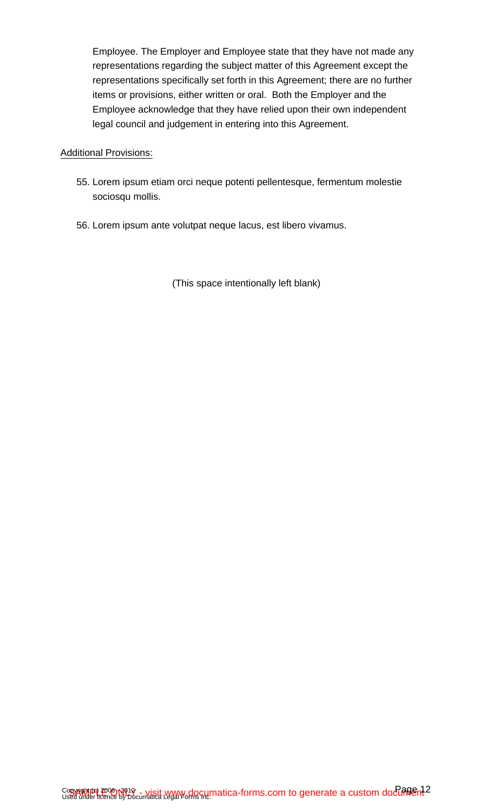Employee. The Employer and Employee state that they have not made any representations regarding the subject matter of this Agreement except the representations specifically set forth in this Agreement; there are no further items or provisions, either written or oral. Both the Employer and the Employee acknowledge that they have relied upon their own independent legal council and judgement in entering into this Agreement.

#### Additional Provisions:

- 55. Lorem ipsum etiam orci neque potenti pellentesque, fermentum molestie sociosqu mollis.
- 56. Lorem ipsum ante volutpat neque lacus, est libero vivamus.

(This space intentionally left blank)